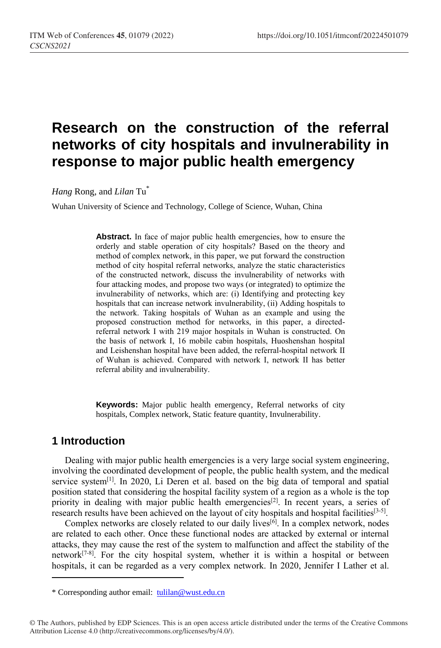# **Research on the construction of the referral networks of city hospitals and invulnerability in response to major public health emergency**

*Hang* Rong, and *Lilan* Tu\*

Wuhan University of Science and Technology, College of Science, Wuhan, China

Abstract. In face of major public health emergencies, how to ensure the orderly and stable operation of city hospitals? Based on the theory and method of complex network, in this paper, we put forward the construction method of city hospital referral networks, analyze the static characteristics of the constructed network, discuss the invulnerability of networks with four attacking modes, and propose two ways (or integrated) to optimize the invulnerability of networks, which are: (i) Identifying and protecting key hospitals that can increase network invulnerability, (ii) Adding hospitals to the network. Taking hospitals of Wuhan as an example and using the proposed construction method for networks, in this paper, a directedreferral network I with 219 major hospitals in Wuhan is constructed. On the basis of network I, 16 mobile cabin hospitals, Huoshenshan hospital and Leishenshan hospital have been added, the referral-hospital network II of Wuhan is achieved. Compared with network I, network II has better referral ability and invulnerability.

**Keywords:** Major public health emergency, Referral networks of city hospitals, Complex network, Static feature quantity, Invulnerability.

### **1 Introduction**

Dealing with major public health emergencies is a very large social system engineering, involving the coordinated development of people, the public health system, and the medical service system<sup>[1]</sup>. In 2020, Li Deren et al. based on the big data of temporal and spatial position stated that considering the hospital facility system of a region as a whole is the top priority in dealing with major public health emergencies<sup>[2]</sup>. In recent years, a series of research results have been achieved on the layout of city hospitals and hospital facilities<sup>[3-5]</sup>.

Complex networks are closely related to our daily lives<sup>[6]</sup>. In a complex network, nodes are related to each other. Once these functional nodes are attacked by external or internal attacks, they may cause the rest of the system to malfunction and affect the stability of the network<sup>[7-8]</sup>. For the city hospital system, whether it is within a hospital or between hospitals, it can be regarded as a very complex network. In 2020, Jennifer I Lather et al.

<sup>\*</sup> Corresponding author email: [tulilan@wust.edu.cn](mailto:tulilan@wust.edu.cn)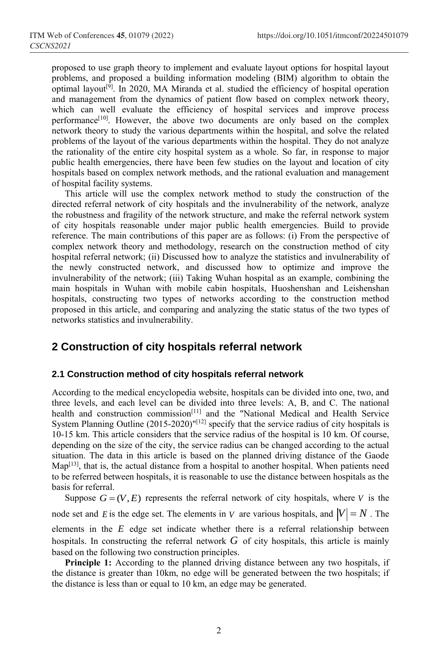proposed to use graph theory to implement and evaluate layout options for hospital layout problems, and proposed a building information modeling (BIM) algorithm to obtain the optimal layout<sup>[9]</sup>. In 2020, MA Miranda et al. studied the efficiency of hospital operation and management from the dynamics of patient flow based on complex network theory, which can well evaluate the efficiency of hospital services and improve process performance<sup>[10]</sup>. However, the above two documents are only based on the complex network theory to study the various departments within the hospital, and solve the related problems of the layout of the various departments within the hospital. They do not analyze the rationality of the entire city hospital system as a whole. So far, in response to major public health emergencies, there have been few studies on the layout and location of city hospitals based on complex network methods, and the rational evaluation and management of hospital facility systems.

This article will use the complex network method to study the construction of the directed referral network of city hospitals and the invulnerability of the network, analyze the robustness and fragility of the network structure, and make the referral network system of city hospitals reasonable under major public health emergencies. Build to provide reference. The main contributions of this paper are as follows: (i) From the perspective of complex network theory and methodology, research on the construction method of city hospital referral network; (ii) Discussed how to analyze the statistics and invulnerability of the newly constructed network, and discussed how to optimize and improve the invulnerability of the network; (iii) Taking Wuhan hospital as an example, combining the main hospitals in Wuhan with mobile cabin hospitals, Huoshenshan and Leishenshan hospitals, constructing two types of networks according to the construction method proposed in this article, and comparing and analyzing the static status of the two types of networks statistics and invulnerability.

# **2 Construction of city hospitals referral network**

### **2.1 Construction method of city hospitals referral network**

According to the medical encyclopedia website, hospitals can be divided into one, two, and three levels, and each level can be divided into three levels: A, B, and C. The national health and construction commission<sup>[11]</sup> and the "National Medical and Health Service System Planning Outline  $(2015-2020)^{n[12]}$  specify that the service radius of city hospitals is 10-15 km. This article considers that the service radius of the hospital is 10 km. Of course, depending on the size of the city, the service radius can be changed according to the actual situation. The data in this article is based on the planned driving distance of the Gaode  $Map<sup>[13]</sup>$ , that is, the actual distance from a hospital to another hospital. When patients need to be referred between hospitals, it is reasonable to use the distance between hospitals as the basis for referral.

Suppose  $G = (V, E)$  represents the referral network of city hospitals, where V is the node set and *E* is the edge set. The elements in *V* are various hospitals, and  $|V| = N$ . The elements in the *E* edge set indicate whether there is a referral relationship between hospitals. In constructing the referral network  $G$  of city hospitals, this article is mainly based on the following two construction principles.

**Principle 1:** According to the planned driving distance between any two hospitals, if the distance is greater than 10km, no edge will be generated between the two hospitals; if the distance is less than or equal to 10 km, an edge may be generated.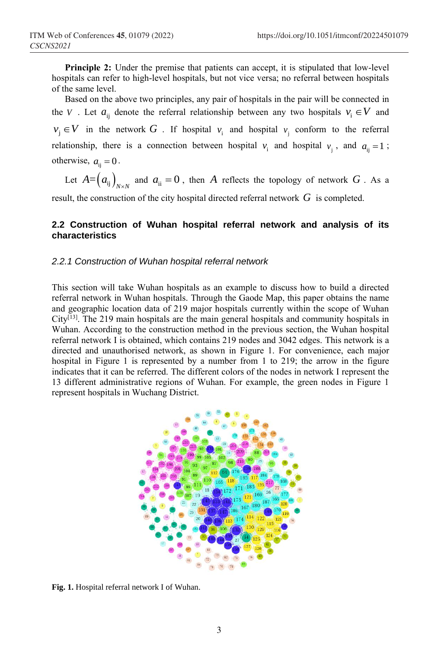**Principle 2:** Under the premise that patients can accept, it is stipulated that low-level hospitals can refer to high-level hospitals, but not vice versa; no referral between hospitals of the same level.

Based on the above two principles, any pair of hospitals in the pair will be connected in the *V*. Let  $a_{ij}$  denote the referral relationship between any two hospitals  $v_i \in V$  and  $v_j \in V$  in the network G . If hospital  $v_i$  and hospital  $v_j$  conform to the referral relationship, there is a connection between hospital  $v_i$  and hospital  $v_j$ , and  $a_{ij} = 1$ ; otherwise,  $a_{ij} = 0$ .

Let  $A = (a_{ij})_{N \times N}$  and  $a_{ii} = 0$ , then  $A$  reflects the topology of network  $G$ . As a

result, the construction of the city hospital directed referral network *G* is completed.

### **2.2 Construction of Wuhan hospital referral network and analysis of its characteristics**

### *2.2.1 Construction of Wuhan hospital referral network*

This section will take Wuhan hospitals as an example to discuss how to build a directed referral network in Wuhan hospitals. Through the Gaode Map, this paper obtains the name and geographic location data of 219 major hospitals currently within the scope of Wuhan City<sup>[13]</sup>. The 219 main hospitals are the main general hospitals and community hospitals in Wuhan. According to the construction method in the previous section, the Wuhan hospital referral network I is obtained, which contains 219 nodes and 3042 edges. This network is a directed and unauthorised network, as shown in Figure 1. For convenience, each major hospital in Figure 1 is represented by a number from 1 to 219; the arrow in the figure indicates that it can be referred. The different colors of the nodes in network I represent the 13 different administrative regions of Wuhan. For example, the green nodes in Figure 1 represent hospitals in Wuchang District.



**Fig. 1.** Hospital referral network I of Wuhan.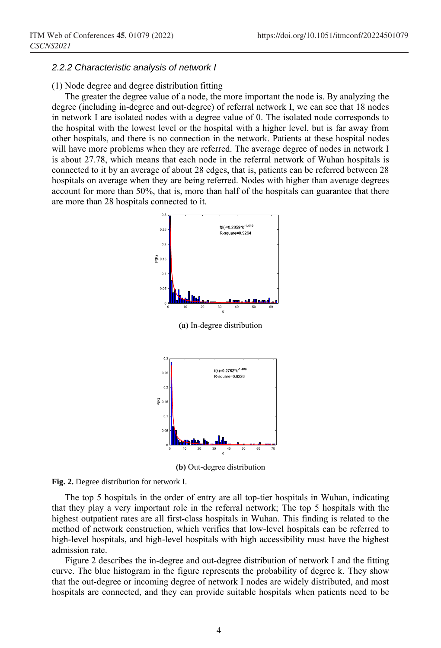#### *2.2.2 Characteristic analysis of network I*

#### (1) Node degree and degree distribution fitting

The greater the degree value of a node, the more important the node is. By analyzing the degree (including in-degree and out-degree) of referral network I, we can see that 18 nodes in network I are isolated nodes with a degree value of 0. The isolated node corresponds to the hospital with the lowest level or the hospital with a higher level, but is far away from other hospitals, and there is no connection in the network. Patients at these hospital nodes will have more problems when they are referred. The average degree of nodes in network I is about 27.78, which means that each node in the referral network of Wuhan hospitals is connected to it by an average of about 28 edges, that is, patients can be referred between 28 hospitals on average when they are being referred. Nodes with higher than average degrees account for more than 50%, that is, more than half of the hospitals can guarantee that there are more than 28 hospitals connected to it.



**(b)** Out-degree distribution



The top 5 hospitals in the order of entry are all top-tier hospitals in Wuhan, indicating that they play a very important role in the referral network; The top 5 hospitals with the highest outpatient rates are all first-class hospitals in Wuhan. This finding is related to the method of network construction, which verifies that low-level hospitals can be referred to high-level hospitals, and high-level hospitals with high accessibility must have the highest admission rate.

Figure 2 describes the in-degree and out-degree distribution of network I and the fitting curve. The blue histogram in the figure represents the probability of degree k. They show that the out-degree or incoming degree of network I nodes are widely distributed, and most hospitals are connected, and they can provide suitable hospitals when patients need to be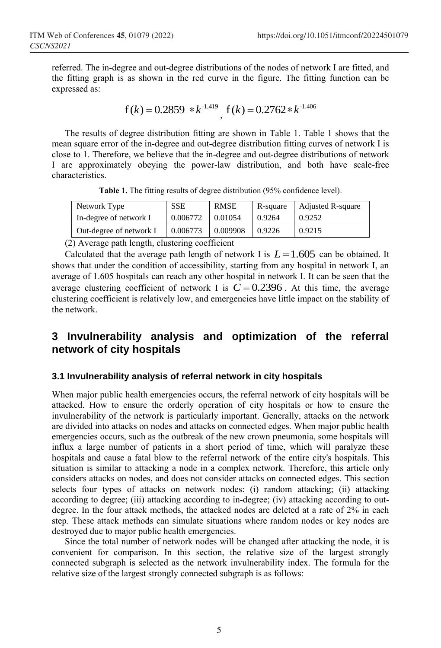referred. The in-degree and out-degree distributions of the nodes of network I are fitted, and the fitting graph is as shown in the red curve in the figure. The fitting function can be expressed as:

$$
f(k) = 0.2859 * k^{-1.419}
$$
,  $f(k) = 0.2762 * k^{-1.406}$ 

The results of degree distribution fitting are shown in Table 1. Table 1 shows that the mean square error of the in-degree and out-degree distribution fitting curves of network I is close to 1. Therefore, we believe that the in-degree and out-degree distributions of network I are approximately obeying the power-law distribution, and both have scale-free characteristics.

| Network Type            | <b>SSE</b> | <b>RMSE</b> | R-square | <b>Adjusted R-square</b> |
|-------------------------|------------|-------------|----------|--------------------------|
| In-degree of network I  | 0.006772   | 0.01054     | 0.9264   | 0.9252                   |
| Out-degree of network I | 0.006773   | 0.009908    | 0.9226   | 0.9215                   |

**Table 1.** The fitting results of degree distribution (95% confidence level).

(2) Average path length, clustering coefficient

Calculated that the average path length of network I is  $L = 1.605$  can be obtained. It shows that under the condition of accessibility, starting from any hospital in network I, an average of 1.605 hospitals can reach any other hospital in network I. It can be seen that the average clustering coefficient of network I is  $C = 0.2396$ . At this time, the average clustering coefficient is relatively low, and emergencies have little impact on the stability of the network.

# **3 Invulnerability analysis and optimization of the referral network of city hospitals**

### **3.1 Invulnerability analysis of referral network in city hospitals**

When major public health emergencies occurs, the referral network of city hospitals will be attacked. How to ensure the orderly operation of city hospitals or how to ensure the invulnerability of the network is particularly important. Generally, attacks on the network are divided into attacks on nodes and attacks on connected edges. When major public health emergencies occurs, such as the outbreak of the new crown pneumonia, some hospitals will influx a large number of patients in a short period of time, which will paralyze these hospitals and cause a fatal blow to the referral network of the entire city's hospitals. This situation is similar to attacking a node in a complex network. Therefore, this article only considers attacks on nodes, and does not consider attacks on connected edges. This section selects four types of attacks on network nodes: (i) random attacking; (ii) attacking according to degree; (iii) attacking according to in-degree; (iv) attacking according to outdegree. In the four attack methods, the attacked nodes are deleted at a rate of 2% in each step. These attack methods can simulate situations where random nodes or key nodes are destroyed due to major public health emergencies.

Since the total number of network nodes will be changed after attacking the node, it is convenient for comparison. In this section, the relative size of the largest strongly connected subgraph is selected as the network invulnerability index. The formula for the relative size of the largest strongly connected subgraph is as follows: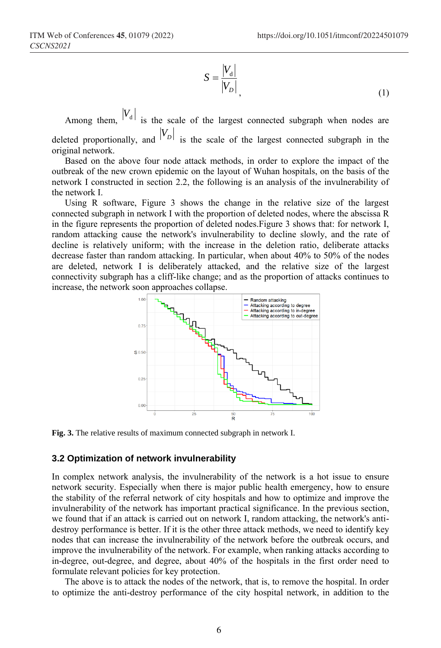$$
S = \frac{|V_{\rm d}|}{|V_{\rm D}|}\tag{1}
$$

Among them,  $|V_d|$  is the scale of the largest connected subgraph when nodes are deleted proportionally, and  $|V_D|$  is the scale of the largest connected subgraph in the original network.

Based on the above four node attack methods, in order to explore the impact of the outbreak of the new crown epidemic on the layout of Wuhan hospitals, on the basis of the network I constructed in section 2.2, the following is an analysis of the invulnerability of the network I.

Using R software, Figure 3 shows the change in the relative size of the largest connected subgraph in network I with the proportion of deleted nodes, where the abscissa R in the figure represents the proportion of deleted nodes.Figure 3 shows that: for network I, random attacking cause the network's invulnerability to decline slowly, and the rate of decline is relatively uniform; with the increase in the deletion ratio, deliberate attacks decrease faster than random attacking. In particular, when about 40% to 50% of the nodes are deleted, network I is deliberately attacked, and the relative size of the largest connectivity subgraph has a cliff-like change; and as the proportion of attacks continues to increase, the network soon approaches collapse.



**Fig. 3.** The relative results of maximum connected subgraph in network I.

#### **3.2 Optimization of network invulnerability**

In complex network analysis, the invulnerability of the network is a hot issue to ensure network security. Especially when there is major public health emergency, how to ensure the stability of the referral network of city hospitals and how to optimize and improve the invulnerability of the network has important practical significance. In the previous section, we found that if an attack is carried out on network I, random attacking, the network's antidestroy performance is better. If it is the other three attack methods, we need to identify key nodes that can increase the invulnerability of the network before the outbreak occurs, and improve the invulnerability of the network. For example, when ranking attacks according to in-degree, out-degree, and degree, about 40% of the hospitals in the first order need to formulate relevant policies for key protection.

The above is to attack the nodes of the network, that is, to remove the hospital. In order to optimize the anti-destroy performance of the city hospital network, in addition to the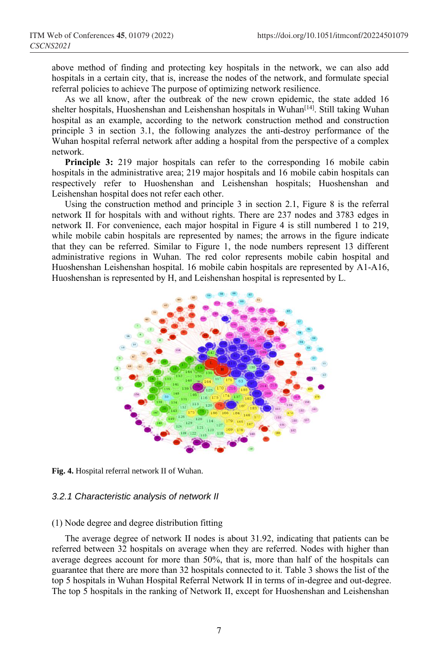above method of finding and protecting key hospitals in the network, we can also add hospitals in a certain city, that is, increase the nodes of the network, and formulate special referral policies to achieve The purpose of optimizing network resilience.

As we all know, after the outbreak of the new crown epidemic, the state added 16 shelter hospitals, Huoshenshan and Leishenshan hospitals in Wuhan<sup>[14]</sup>. Still taking Wuhan hospital as an example, according to the network construction method and construction principle 3 in section 3.1, the following analyzes the anti-destroy performance of the Wuhan hospital referral network after adding a hospital from the perspective of a complex network.

**Principle 3:** 219 major hospitals can refer to the corresponding 16 mobile cabin hospitals in the administrative area; 219 major hospitals and 16 mobile cabin hospitals can respectively refer to Huoshenshan and Leishenshan hospitals; Huoshenshan and Leishenshan hospital does not refer each other.

Using the construction method and principle 3 in section 2.1, Figure 8 is the referral network II for hospitals with and without rights. There are 237 nodes and 3783 edges in network II. For convenience, each major hospital in Figure 4 is still numbered 1 to 219, while mobile cabin hospitals are represented by names; the arrows in the figure indicate that they can be referred. Similar to Figure 1, the node numbers represent 13 different administrative regions in Wuhan. The red color represents mobile cabin hospital and Huoshenshan Leishenshan hospital. 16 mobile cabin hospitals are represented by A1-A16, Huoshenshan is represented by H, and Leishenshan hospital is represented by L.



**Fig. 4.** Hospital referral network II of Wuhan.

#### *3.2.1 Characteristic analysis of network II*

#### (1) Node degree and degree distribution fitting

The average degree of network II nodes is about 31.92, indicating that patients can be referred between 32 hospitals on average when they are referred. Nodes with higher than average degrees account for more than 50%, that is, more than half of the hospitals can guarantee that there are more than 32 hospitals connected to it. Table 3 shows the list of the top 5 hospitals in Wuhan Hospital Referral Network II in terms of in-degree and out-degree. The top 5 hospitals in the ranking of Network II, except for Huoshenshan and Leishenshan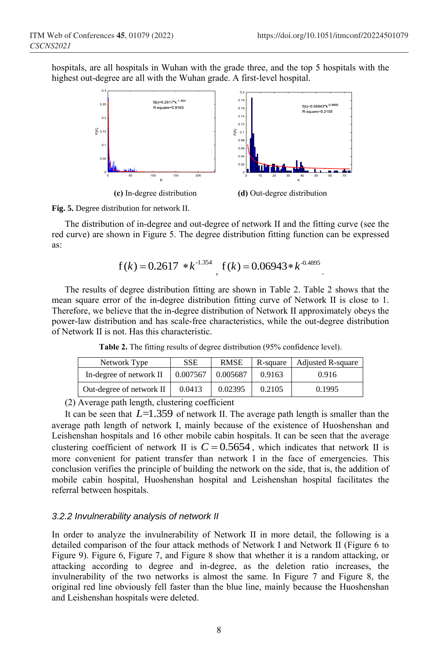hospitals, are all hospitals in Wuhan with the grade three, and the top 5 hospitals with the highest out-degree are all with the Wuhan grade. A first-level hospital.



**Fig. 5.** Degree distribution for network II.

The distribution of in-degree and out-degree of network II and the fitting curve (see the red curve) are shown in Figure 5. The degree distribution fitting function can be expressed as:

$$
f(k) = 0.2617 * k^{-1.354}
$$
,  $f(k) = 0.06943 * k^{-0.4895}$ .

The results of degree distribution fitting are shown in Table 2. Table 2 shows that the mean square error of the in-degree distribution fitting curve of Network II is close to 1. Therefore, we believe that the in-degree distribution of Network II approximately obeys the power-law distribution and has scale-free characteristics, while the out-degree distribution of Network II is not. Has this characteristic.

| Network Type             | SSE                 | <b>RMSE</b> | R-square | <b>Adjusted R-square</b> |
|--------------------------|---------------------|-------------|----------|--------------------------|
| In-degree of network II  | $0.007567$ 0.005687 |             | 0.9163   | 0.916                    |
| Out-degree of network II | 0.0413              | 0.02395     | 0.2105   | 0.1995                   |

**Table 2.** The fitting results of degree distribution (95% confidence level).

(2) Average path length, clustering coefficient

It can be seen that  $L=1.359$  of network II. The average path length is smaller than the average path length of network I, mainly because of the existence of Huoshenshan and Leishenshan hospitals and 16 other mobile cabin hospitals. It can be seen that the average clustering coefficient of network II is  $C = 0.5654$ , which indicates that network II is more convenient for patient transfer than network I in the face of emergencies. This conclusion verifies the principle of building the network on the side, that is, the addition of mobile cabin hospital, Huoshenshan hospital and Leishenshan hospital facilitates the referral between hospitals.

### *3.2.2 Invulnerability analysis of network II*

In order to analyze the invulnerability of Network II in more detail, the following is a detailed comparison of the four attack methods of Network I and Network II (Figure 6 to Figure 9). Figure 6, Figure 7, and Figure 8 show that whether it is a random attacking, or attacking according to degree and in-degree, as the deletion ratio increases, the invulnerability of the two networks is almost the same. In Figure 7 and Figure 8, the original red line obviously fell faster than the blue line, mainly because the Huoshenshan and Leishenshan hospitals were deleted.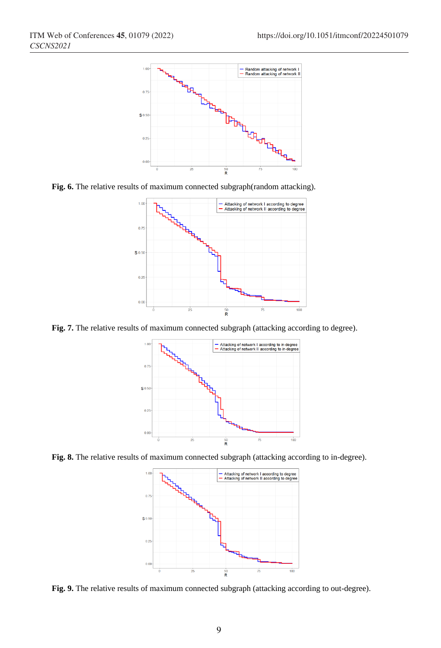

Fig. 6. The relative results of maximum connected subgraph(random attacking).



Fig. 7. The relative results of maximum connected subgraph (attacking according to degree).



**Fig. 8.** The relative results of maximum connected subgraph (attacking according to in-degree).



**Fig. 9.** The relative results of maximum connected subgraph (attacking according to out-degree).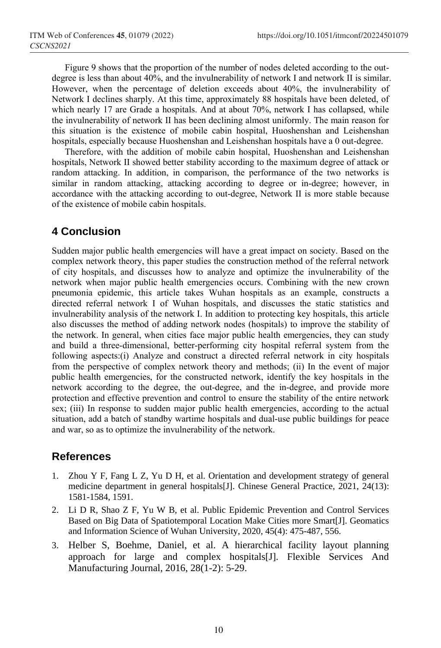Figure 9 shows that the proportion of the number of nodes deleted according to the outdegree is less than about 40%, and the invulnerability of network I and network II is similar. However, when the percentage of deletion exceeds about 40%, the invulnerability of Network I declines sharply. At this time, approximately 88 hospitals have been deleted, of which nearly 17 are Grade a hospitals. And at about 70%, network I has collapsed, while the invulnerability of network II has been declining almost uniformly. The main reason for this situation is the existence of mobile cabin hospital, Huoshenshan and Leishenshan hospitals, especially because Huoshenshan and Leishenshan hospitals have a 0 out-degree.

Therefore, with the addition of mobile cabin hospital, Huoshenshan and Leishenshan hospitals, Network II showed better stability according to the maximum degree of attack or random attacking. In addition, in comparison, the performance of the two networks is similar in random attacking, attacking according to degree or in-degree; however, in accordance with the attacking according to out-degree, Network II is more stable because of the existence of mobile cabin hospitals.

# **4 Conclusion**

Sudden major public health emergencies will have a great impact on society. Based on the complex network theory, this paper studies the construction method of the referral network of city hospitals, and discusses how to analyze and optimize the invulnerability of the network when major public health emergencies occurs. Combining with the new crown pneumonia epidemic, this article takes Wuhan hospitals as an example, constructs a directed referral network I of Wuhan hospitals, and discusses the static statistics and invulnerability analysis of the network I. In addition to protecting key hospitals, this article also discusses the method of adding network nodes (hospitals) to improve the stability of the network. In general, when cities face major public health emergencies, they can study and build a three-dimensional, better-performing city hospital referral system from the following aspects:(i) Analyze and construct a directed referral network in city hospitals from the perspective of complex network theory and methods; (ii) In the event of major public health emergencies, for the constructed network, identify the key hospitals in the network according to the degree, the out-degree, and the in-degree, and provide more protection and effective prevention and control to ensure the stability of the entire network sex; (iii) In response to sudden major public health emergencies, according to the actual situation, add a batch of standby wartime hospitals and dual-use public buildings for peace and war, so as to optimize the invulnerability of the network.

# **References**

- 1. Zhou Y F, Fang L Z, Yu D H, et al. Orientation and development strategy of general medicine department in general hospitals[J]. Chinese General Practice, 2021, 24(13): 1581-1584, 1591.
- 2. Li D R, Shao Z F, Yu W B, et al. Public Epidemic Prevention and Control Services Based on Big Data of Spatiotemporal Location Make Cities more Smart[J]. Geomatics and Information Science of Wuhan University, 2020, 45(4): 475-487, 556.
- 3. Helber S, Boehme, Daniel, et al. A hierarchical facility layout planning approach for large and complex hospitals[J]. Flexible Services And Manufacturing Journal, 2016, 28(1-2): 5-29.